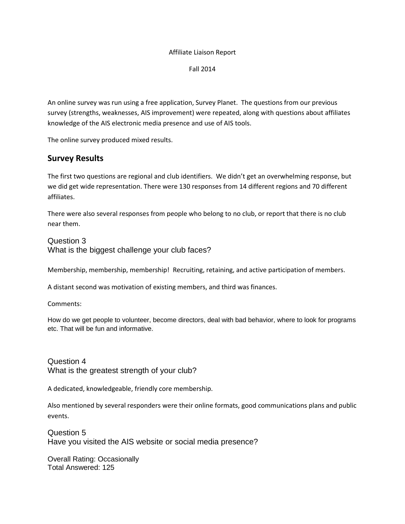#### Affiliate Liaison Report

Fall 2014

An online survey was run using a free application, Survey Planet. The questions from our previous survey (strengths, weaknesses, AIS improvement) were repeated, along with questions about affiliates knowledge of the AIS electronic media presence and use of AIS tools.

The online survey produced mixed results.

# **Survey Results**

The first two questions are regional and club identifiers. We didn't get an overwhelming response, but we did get wide representation. There were 130 responses from 14 different regions and 70 different affiliates.

There were also several responses from people who belong to no club, or report that there is no club near them.

## Question 3

What is the biggest challenge your club faces?

Membership, membership, membership! Recruiting, retaining, and active participation of members.

A distant second was motivation of existing members, and third was finances.

Comments:

How do we get people to volunteer, become directors, deal with bad behavior, where to look for programs etc. That will be fun and informative.

Question 4 What is the greatest strength of your club?

A dedicated, knowledgeable, friendly core membership.

Also mentioned by several responders were their online formats, good communications plans and public events.

Question 5 Have you visited the AIS website or social media presence?

Overall Rating: Occasionally Total Answered: 125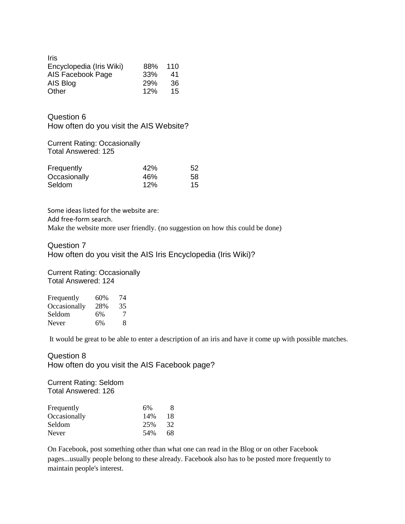| <b>Iris</b>              |     |     |
|--------------------------|-----|-----|
| Encyclopedia (Iris Wiki) | 88% | 110 |
| AIS Facebook Page        | 33% | 41  |
| AIS Blog                 | 29% | 36  |
| Other                    | 12% | 15  |

Question 6 How often do you visit the AIS Website?

### Current Rating: Occasionally Total Answered: 125

| Frequently   | 42% | 52 |
|--------------|-----|----|
| Occasionally | 46% | 58 |
| Seldom       | 12% | 15 |

Some ideas listed for the website are: Add free-form search. Make the website more user friendly. (no suggestion on how this could be done)

Question 7 How often do you visit the AIS Iris Encyclopedia (Iris Wiki)?

Current Rating: Occasionally Total Answered: 124

| Frequently   | 60% | 74 |
|--------------|-----|----|
| Occasionally | 28% | 35 |
| Seldom       | 6%  | 7  |
| Never        | 6%  | 8  |

It would be great to be able to enter a description of an iris and have it come up with possible matches.

Question 8 How often do you visit the AIS Facebook page?

Current Rating: Seldom Total Answered: 126

| 6%  | 8  |
|-----|----|
| 14% | 18 |
| 25% | 32 |
| 54% | 68 |
|     |    |

On Facebook, post something other than what one can read in the Blog or on other Facebook pages...usually people belong to these already. Facebook also has to be posted more frequently to maintain people's interest.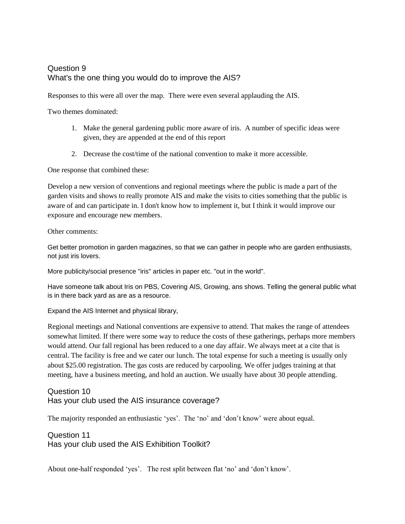# Question 9 What's the one thing you would do to improve the AIS?

Responses to this were all over the map. There were even several applauding the AIS.

Two themes dominated:

- 1. Make the general gardening public more aware of iris. A number of specific ideas were given, they are appended at the end of this report
- 2. Decrease the cost/time of the national convention to make it more accessible.

One response that combined these:

Develop a new version of conventions and regional meetings where the public is made a part of the garden visits and shows to really promote AIS and make the visits to cities something that the public is aware of and can participate in. I don't know how to implement it, but I think it would improve our exposure and encourage new members.

Other comments:

Get better promotion in garden magazines, so that we can gather in people who are garden enthusiasts, not just iris lovers.

More publicity/social presence "iris" articles in paper etc. "out in the world".

Have someone talk about Iris on PBS, Covering AIS, Growing, ans shows. Telling the general public what is in there back yard as are as a resource.

Expand the AIS Internet and physical library,

Regional meetings and National conventions are expensive to attend. That makes the range of attendees somewhat limited. If there were some way to reduce the costs of these gatherings, perhaps more members would attend. Our fall regional has been reduced to a one day affair. We always meet at a cite that is central. The facility is free and we cater our lunch. The total expense for such a meeting is usually only about \$25.00 registration. The gas costs are reduced by carpooling. We offer judges training at that meeting, have a business meeting, and hold an auction. We usually have about 30 people attending.

# Question 10 Has your club used the AIS insurance coverage?

The majority responded an enthusiastic 'yes'. The 'no' and 'don't know' were about equal.

Question 11 Has your club used the AIS Exhibition Toolkit?

About one-half responded 'yes'. The rest split between flat 'no' and 'don't know'.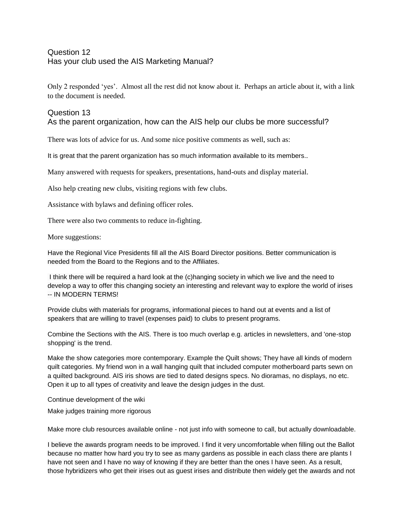# Question 12 Has your club used the AIS Marketing Manual?

Only 2 responded 'yes'. Almost all the rest did not know about it. Perhaps an article about it, with a link to the document is needed.

# Question 13

As the parent organization, how can the AIS help our clubs be more successful?

There was lots of advice for us. And some nice positive comments as well, such as:

It is great that the parent organization has so much information available to its members..

Many answered with requests for speakers, presentations, hand-outs and display material.

Also help creating new clubs, visiting regions with few clubs.

Assistance with bylaws and defining officer roles.

There were also two comments to reduce in-fighting.

More suggestions:

Have the Regional Vice Presidents fill all the AIS Board Director positions. Better communication is needed from the Board to the Regions and to the Affiliates.

I think there will be required a hard look at the (c)hanging society in which we live and the need to develop a way to offer this changing society an interesting and relevant way to explore the world of irises -- IN MODERN TERMS!

Provide clubs with materials for programs, informational pieces to hand out at events and a list of speakers that are willing to travel (expenses paid) to clubs to present programs.

Combine the Sections with the AIS. There is too much overlap e.g. articles in newsletters, and 'one-stop shopping' is the trend.

Make the show categories more contemporary. Example the Quilt shows; They have all kinds of modern quilt categories. My friend won in a wall hanging quilt that included computer motherboard parts sewn on a quilted background. AIS iris shows are tied to dated designs specs. No dioramas, no displays, no etc. Open it up to all types of creativity and leave the design judges in the dust.

Continue development of the wiki

Make judges training more rigorous

Make more club resources available online - not just info with someone to call, but actually downloadable.

I believe the awards program needs to be improved. I find it very uncomfortable when filling out the Ballot because no matter how hard you try to see as many gardens as possible in each class there are plants I have not seen and I have no way of knowing if they are better than the ones I have seen. As a result, those hybridizers who get their irises out as guest irises and distribute then widely get the awards and not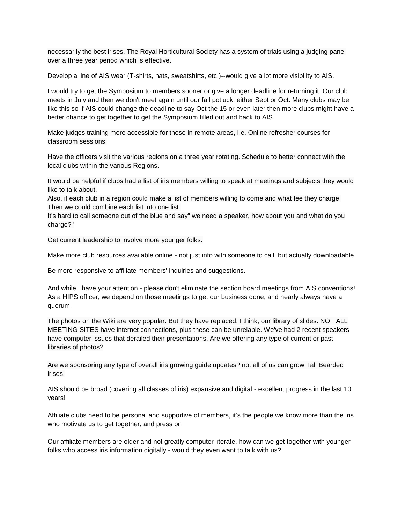necessarily the best irises. The Royal Horticultural Society has a system of trials using a judging panel over a three year period which is effective.

Develop a line of AIS wear (T-shirts, hats, sweatshirts, etc.)--would give a lot more visibility to AIS.

I would try to get the Symposium to members sooner or give a longer deadline for returning it. Our club meets in July and then we don't meet again until our fall potluck, either Sept or Oct. Many clubs may be like this so if AIS could change the deadline to say Oct the 15 or even later then more clubs might have a better chance to get together to get the Symposium filled out and back to AIS.

Make judges training more accessible for those in remote areas, I.e. Online refresher courses for classroom sessions.

Have the officers visit the various regions on a three year rotating. Schedule to better connect with the local clubs within the various Regions.

It would be helpful if clubs had a list of iris members willing to speak at meetings and subjects they would like to talk about.

Also, if each club in a region could make a list of members willing to come and what fee they charge, Then we could combine each list into one list.

It's hard to call someone out of the blue and say" we need a speaker, how about you and what do you charge?"

Get current leadership to involve more younger folks.

Make more club resources available online - not just info with someone to call, but actually downloadable.

Be more responsive to affiliate members' inquiries and suggestions.

And while I have your attention - please don't eliminate the section board meetings from AIS conventions! As a HIPS officer, we depend on those meetings to get our business done, and nearly always have a quorum.

The photos on the Wiki are very popular. But they have replaced, I think, our library of slides. NOT ALL MEETING SITES have internet connections, plus these can be unrelable. We've had 2 recent speakers have computer issues that derailed their presentations. Are we offering any type of current or past libraries of photos?

Are we sponsoring any type of overall iris growing guide updates? not all of us can grow Tall Bearded irises!

AIS should be broad (covering all classes of iris) expansive and digital - excellent progress in the last 10 years!

Affiliate clubs need to be personal and supportive of members, it's the people we know more than the iris who motivate us to get together, and press on

Our affiliate members are older and not greatly computer literate, how can we get together with younger folks who access iris information digitally - would they even want to talk with us?